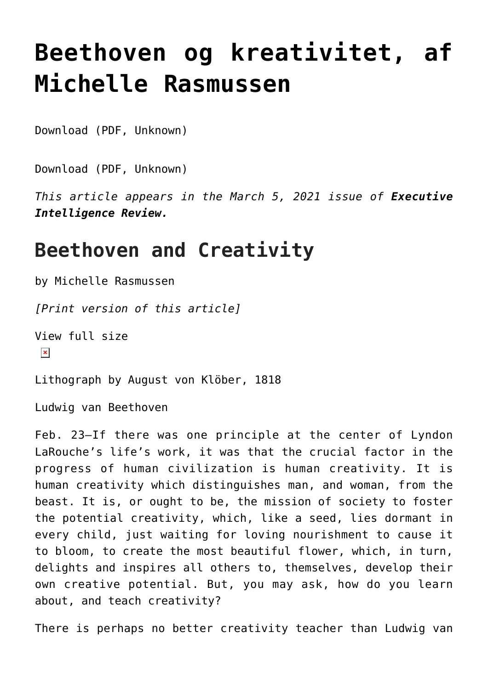# **[Beethoven og kreativitet, af](https://schillerinstitut.dk/si/2021/03/beethoven-og-kreativitet-af-michelle-rasmussen/) [Michelle Rasmussen](https://schillerinstitut.dk/si/2021/03/beethoven-og-kreativitet-af-michelle-rasmussen/)**

[Download \(PDF, Unknown\)](http://schillerinstitut.dk/si/wp-content/uploads/2021/03/eirv48n10-20210305_023-beethoven_and_creativity.pdf)

[Download \(PDF, Unknown\)](http://schillerinstitut.dk/si/wp-content/uploads/2021/03/lhl-in_the_garden_of_gethsemane-lar.pdf)

*This article appears in the [March 5, 2021 issue](https://larouchepub.com/eiw/public/2021/eirv48n10-20210305/index.html) of Executive Intelligence Review.*

## **Beethoven and Creativity**

by Michelle Rasmussen

*[\[Print version of this article\]](https://larouchepub.com/eiw/public/2021/eirv48n10-20210305/eirv48n10-20210305_023-beethoven_and_creativity.pdf)*

[View full size](https://larouchepub.com/graphics/2021/4810/lg/beethoven_ludwig-von.jpg)  $\pmb{\times}$ 

Lithograph by August von Klöber, 1818

Ludwig van Beethoven

Feb. 23—If there was one principle at the center of Lyndon LaRouche's life's work, it was that the crucial factor in the progress of human civilization is human creativity. It is human creativity which distinguishes man, and woman, from the beast. It is, or ought to be, the mission of society to foster the potential creativity, which, like a seed, lies dormant in every child, just waiting for loving nourishment to cause it to bloom, to create the most beautiful flower, which, in turn, delights and inspires all others to, themselves, develop their own creative potential. But, you may ask, how do you learn about, and teach creativity?

There is perhaps no better creativity teacher than Ludwig van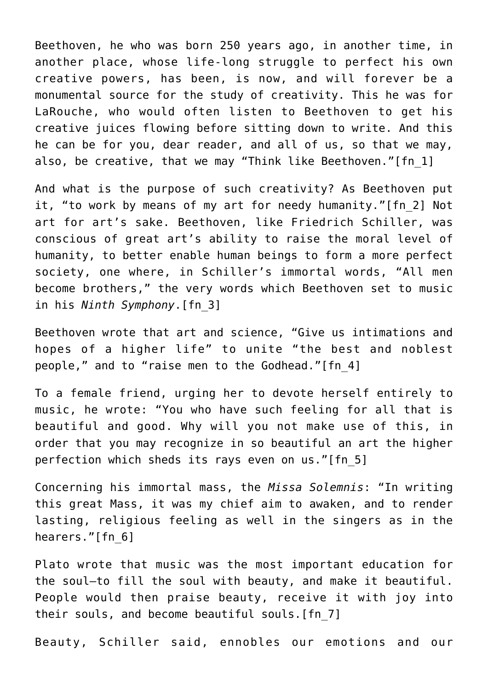Beethoven, he who was born 250 years ago, in another time, in another place, whose life-long struggle to perfect his own creative powers, has been, is now, and will forever be a monumental source for the study of creativity. This he was for LaRouche, who would often listen to Beethoven to get his creative juices flowing before sitting down to write. And this he can be for you, dear reader, and all of us, so that we may, also, be creative, that we may "Think like Beethoven."[fn 1]

And what is the purpose of such creativity? As Beethoven put it, "to work by means of my art for needy humanity."[fn 2] Not art for art's sake. Beethoven, like Friedrich Schiller, was conscious of great art's ability to raise the moral level of humanity, to better enable human beings to form a more perfect society, one where, in Schiller's immortal words, "All men become brothers," the very words which Beethoven set to music in his *Ninth Symphony*[.\[fn\\_3\]](https://larouchepub.com/other/2021/4810-beethoven_and_creativity.html#footnote-053)

Beethoven wrote that art and science, "Give us intimations and hopes of a higher life" to unite "the best and noblest people," and to "raise men to the Godhead."[\[fn\\_4\]](https://larouchepub.com/other/2021/4810-beethoven_and_creativity.html#footnote-052)

To a female friend, urging her to devote herself entirely to music, he wrote: "You who have such feeling for all that is beautiful and good. Why will you not make use of this, in order that you may recognize in so beautiful an art the higher perfection which sheds its rays even on us.["\[fn\\_5\]](https://larouchepub.com/other/2021/4810-beethoven_and_creativity.html#footnote-051)

Concerning his immortal mass, the *Missa Solemnis*: "In writing this great Mass, it was my chief aim to awaken, and to render lasting, religious feeling as well in the singers as in the hearers."[fn 6]

Plato wrote that music was the most important education for the soul—to fill the soul with beauty, and make it beautiful. People would then praise beauty, receive it with joy into their souls, and become beautiful souls.[\[fn\\_7\]](https://larouchepub.com/other/2021/4810-beethoven_and_creativity.html#footnote-049)

Beauty, Schiller said, ennobles our emotions and our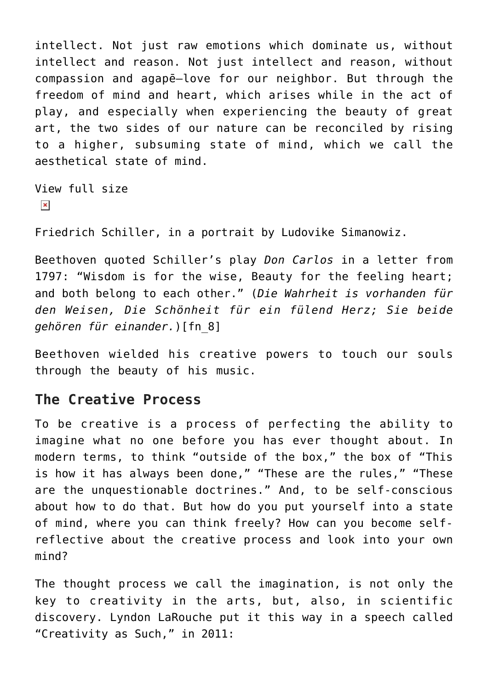intellect. Not just raw emotions which dominate us, without intellect and reason. Not just intellect and reason, without compassion and agapē—love for our neighbor. But through the freedom of mind and heart, which arises while in the act of play, and especially when experiencing the beauty of great art, the two sides of our nature can be reconciled by rising to a higher, subsuming state of mind, which we call the aesthetical state of mind.

[View full size](https://larouchepub.com/graphics/2021/4810/lg/Schiller_Friedrich_RGB_portrait.jpg)  $\pmb{\times}$ 

Friedrich Schiller, in a portrait by Ludovike Simanowiz.

Beethoven quoted Schiller's play *Don Carlos* in a letter from 1797: "Wisdom is for the wise, Beauty for the feeling heart; and both belong to each other." (*Die Wahrheit is vorhanden für den Weisen, Die Schönheit für ein fülend Herz; Sie beide gehören für einander.*[\)\[fn\\_8\]](https://larouchepub.com/other/2021/4810-beethoven_and_creativity.html#footnote-048)

Beethoven wielded his creative powers to touch our souls through the beauty of his music.

#### **The Creative Process**

To be creative is a process of perfecting the ability to imagine what no one before you has ever thought about. In modern terms, to think "outside of the box," the box of "This is how it has always been done," "These are the rules," "These are the unquestionable doctrines." And, to be self-conscious about how to do that. But how do you put yourself into a state of mind, where you can think freely? How can you become selfreflective about the creative process and look into your own mind?

The thought process we call the imagination, is not only the key to creativity in the arts, but, also, in scientific discovery. Lyndon LaRouche put it this way in a [speech](https://larouchepub.com/eiw/public/2011/eirv38n27-20110715/30-38_3827-lar.pdf) called "Creativity as Such," in 2011: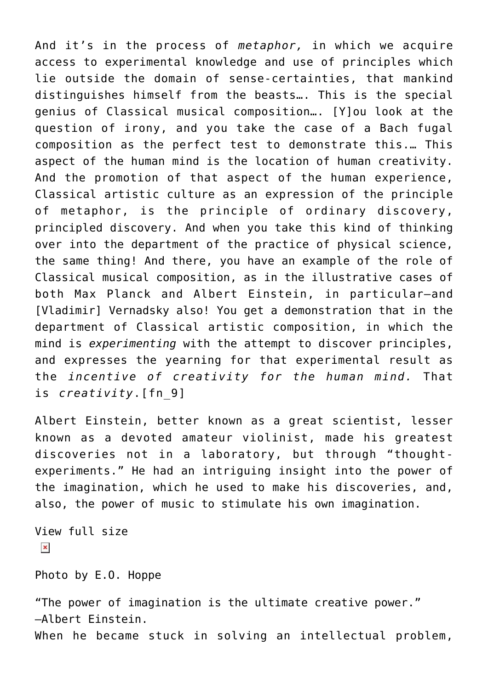And it's in the process of *metaphor,* in which we acquire access to experimental knowledge and use of principles which lie outside the domain of sense-certainties, that mankind distinguishes himself from the beasts…. This is the special genius of Classical musical composition…. [Y]ou look at the question of irony, and you take the case of a Bach fugal composition as the perfect test to demonstrate this.… This aspect of the human mind is the location of human creativity. And the promotion of that aspect of the human experience, Classical artistic culture as an expression of the principle of metaphor, is the principle of ordinary discovery, principled discovery. And when you take this kind of thinking over into the department of the practice of physical science, the same thing! And there, you have an example of the role of Classical musical composition, as in the illustrative cases of both Max Planck and Albert Einstein, in particular—and [Vladimir] Vernadsky also! You get a demonstration that in the department of Classical artistic composition, in which the mind is *experimenting* with the attempt to discover principles, and expresses the yearning for that experimental result as the *incentive of creativity for the human mind.* That is *creativity*.[\[fn\\_9\]](https://larouchepub.com/other/2021/4810-beethoven_and_creativity.html#footnote-047)

Albert Einstein, better known as a great scientist, lesser known as a devoted amateur violinist, made his greatest discoveries not in a laboratory, but through "thoughtexperiments." He had an intriguing insight into the power of the imagination, which he used to make his discoveries, and, also, the power of music to stimulate his own imagination.

[View full size](https://larouchepub.com/graphics/2021/4810/lg/einstein_violin_playing_BW.jpg)  $\pmb{\times}$ 

Photo by E.O. Hoppe

"The power of imagination is the ultimate creative power." —Albert Einstein. When he became stuck in solving an intellectual problem,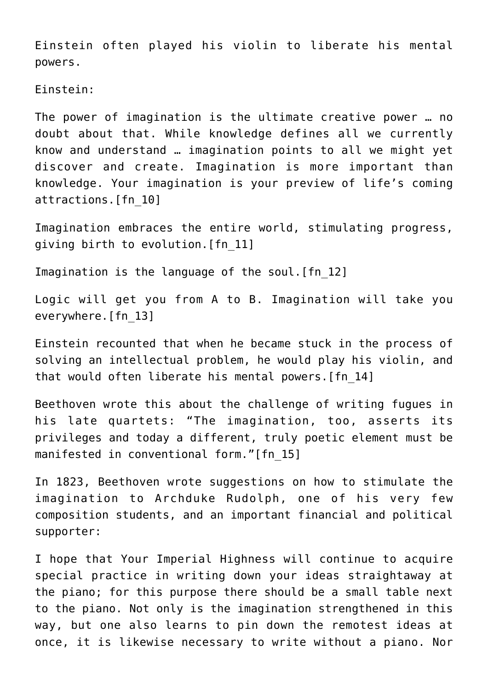Einstein often played his violin to liberate his mental powers.

Einstein:

The power of imagination is the ultimate creative power … no doubt about that. While knowledge defines all we currently know and understand … imagination points to all we might yet discover and create. Imagination is more important than knowledge. Your imagination is your preview of life's coming attractions[.\[fn\\_10\]](https://larouchepub.com/other/2021/4810-beethoven_and_creativity.html#footnote-046)

Imagination embraces the entire world, stimulating progress, giving birth to evolution.[\[fn\\_11\]](https://larouchepub.com/other/2021/4810-beethoven_and_creativity.html#footnote-045)

Imagination is the language of the soul.[\[fn\\_12\]](https://larouchepub.com/other/2021/4810-beethoven_and_creativity.html#footnote-044)

Logic will get you from A to B. Imagination will take you everywhere.[\[fn\\_13\]](https://larouchepub.com/other/2021/4810-beethoven_and_creativity.html#footnote-043)

Einstein recounted that when he became stuck in the process of solving an intellectual problem, he would play his violin, and that would often liberate his mental powers[.\[fn\\_14\]](https://larouchepub.com/other/2021/4810-beethoven_and_creativity.html#footnote-042)

Beethoven wrote this about the challenge of writing fugues in his late quartets: "The imagination, too, asserts its privileges and today a different, truly poetic element must be manifested in conventional form."[\[fn\\_15\]](https://larouchepub.com/other/2021/4810-beethoven_and_creativity.html#footnote-041)

In 1823, Beethoven wrote suggestions on how to stimulate the imagination to Archduke Rudolph, one of his very few composition students, and an important financial and political supporter:

I hope that Your Imperial Highness will continue to acquire special practice in writing down your ideas straightaway at the piano; for this purpose there should be a small table next to the piano. Not only is the imagination strengthened in this way, but one also learns to pin down the remotest ideas at once, it is likewise necessary to write without a piano. Nor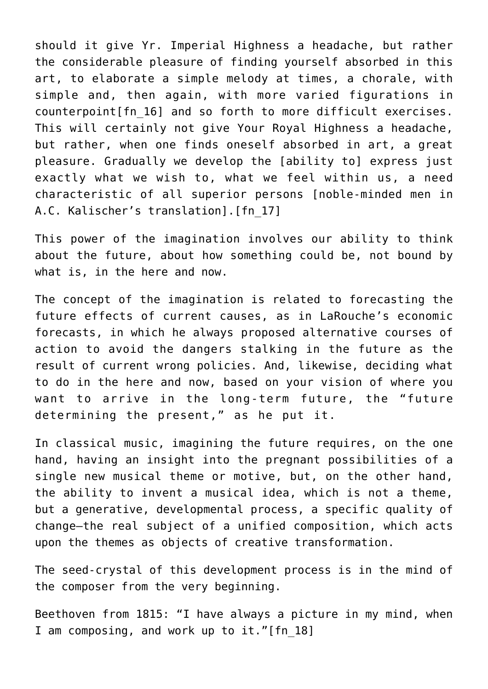should it give Yr. Imperial Highness a headache, but rather the considerable pleasure of finding yourself absorbed in this art, to elaborate a simple melody at times, a chorale, with simple and, then again, with more varied figurations in counterpoint[\[fn\\_16\]](https://larouchepub.com/other/2021/4810-beethoven_and_creativity.html#footnote-040) and so forth to more difficult exercises. This will certainly not give Your Royal Highness a headache, but rather, when one finds oneself absorbed in art, a great pleasure. Gradually we develop the [ability to] express just exactly what we wish to, what we feel within us, a need characteristic of all superior persons [noble-minded men in A.C. Kalischer's translation][.\[fn\\_17\]](https://larouchepub.com/other/2021/4810-beethoven_and_creativity.html#footnote-039)

This power of the imagination involves our ability to think about the future, about how something could be, not bound by what is, in the here and now.

The concept of the imagination is related to forecasting the future effects of current causes, as in LaRouche's economic forecasts, in which he always proposed alternative courses of action to avoid the dangers stalking in the future as the result of current wrong policies. And, likewise, deciding what to do in the here and now, based on your vision of where you want to arrive in the long-term future, the "future determining the present," as he put it.

In classical music, imagining the future requires, on the one hand, having an insight into the pregnant possibilities of a single new musical theme or motive, but, on the other hand, the ability to invent a musical idea, which is not a theme, but a generative, developmental process, a specific quality of change—the real subject of a unified composition, which acts upon the themes as objects of creative transformation.

The seed-crystal of this development process is in the mind of the composer from the very beginning.

Beethoven from 1815: "I have always a picture in my mind, when I am composing, and work up to it."[\[fn\\_18\]](https://larouchepub.com/other/2021/4810-beethoven_and_creativity.html#footnote-038)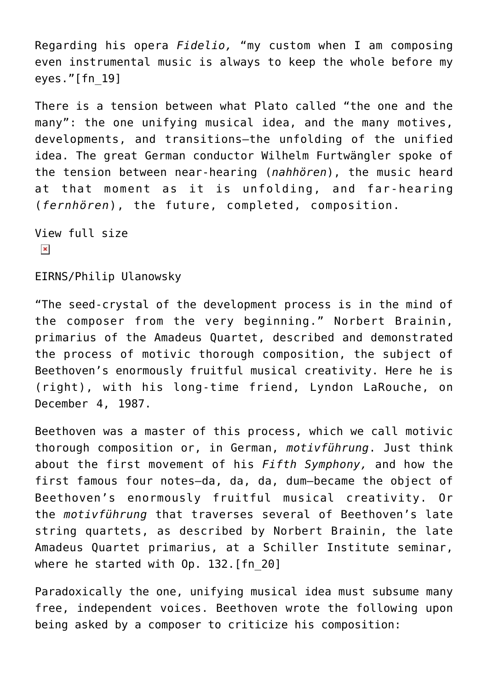Regarding his opera *Fidelio,* "my custom when I am composing even instrumental music is always to keep the whole before my eyes.["\[fn\\_19\]](https://larouchepub.com/other/2021/4810-beethoven_and_creativity.html#footnote-037)

There is a tension between what Plato called "the one and the many": the one unifying musical idea, and the many motives, developments, and transitions—the unfolding of the unified idea. The great German conductor Wilhelm Furtwängler spoke of the tension between near-hearing (*nahhören*), the music heard at that moment as it is unfolding, and far-hearing (*fernhören*), the future, completed, composition.

[View full size](https://larouchepub.com/graphics/2021/4810/lg/lyn_brainin.jpg)  $\pmb{\times}$ 

#### EIRNS/Philip Ulanowsky

"The seed-crystal of the development process is in the mind of the composer from the very beginning." Norbert Brainin, primarius of the Amadeus Quartet, described and demonstrated the process of motivic thorough composition, the subject of Beethoven's enormously fruitful musical creativity. Here he is (right), with his long-time friend, Lyndon LaRouche, on December 4, 1987.

Beethoven was a master of this process, which we call motivic thorough composition or, in German, *motivführung*. Just think about the first movement of his *Fifth Symphony,* and how the first famous four notes—da, da, da, dum—became the object of Beethoven's enormously fruitful musical creativity. Or the *motivführung* that traverses several of Beethoven's late string quartets, as described by Norbert Brainin, the late Amadeus Quartet primarius, at a Schiller Institute seminar, where he started with Op. 132.[fn 20]

Paradoxically the one, unifying musical idea must subsume many free, independent voices. Beethoven wrote the following upon being asked by a composer to criticize his composition: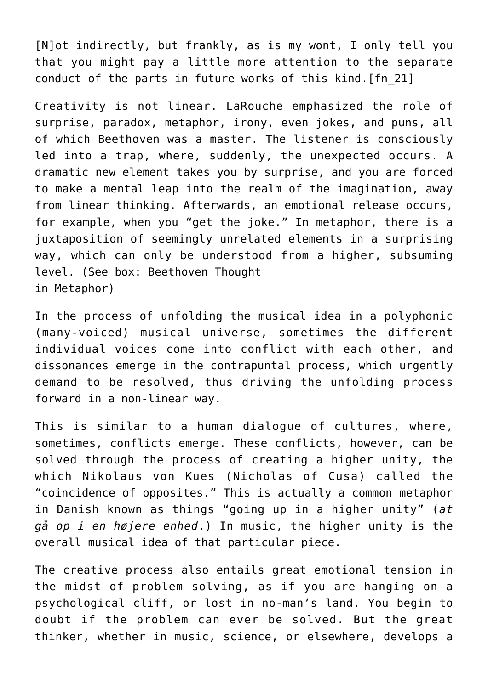[N]ot indirectly, but frankly, as is my wont, I only tell you that you might pay a little more attention to the separate conduct of the parts in future works of this kind.[\[fn\\_21\]](https://larouchepub.com/other/2021/4810-beethoven_and_creativity.html#footnote-035)

Creativity is not linear. LaRouche emphasized the role of surprise, paradox, metaphor, irony, even jokes, and puns, all of which Beethoven was a master. The listener is consciously led into a trap, where, suddenly, the unexpected occurs. A dramatic new element takes you by surprise, and you are forced to make a mental leap into the realm of the imagination, away from linear thinking. Afterwards, an emotional release occurs, for example, when you "get the joke." In metaphor, there is a juxtaposition of seemingly unrelated elements in a surprising way, which can only be understood from a higher, subsuming level. (See box: [Beethoven Thought](https://larouchepub.com/other/2021/4810-beethoven_and_creativity.html#metaphor) [in Metaphor\)](https://larouchepub.com/other/2021/4810-beethoven_and_creativity.html#metaphor)

In the process of unfolding the musical idea in a polyphonic (many-voiced) musical universe, sometimes the different individual voices come into conflict with each other, and dissonances emerge in the contrapuntal process, which urgently demand to be resolved, thus driving the unfolding process forward in a non-linear way.

This is similar to a human dialogue of cultures, where, sometimes, conflicts emerge. These conflicts, however, can be solved through the process of creating a higher unity, the which Nikolaus von Kues (Nicholas of Cusa) called the "coincidence of opposites." This is actually a common metaphor in Danish known as things "going up in a higher unity" (*at gå op i en højere enhed*.) In music, the higher unity is the overall musical idea of that particular piece.

The creative process also entails great emotional tension in the midst of problem solving, as if you are hanging on a psychological cliff, or lost in no-man's land. You begin to doubt if the problem can ever be solved. But the great thinker, whether in music, science, or elsewhere, develops a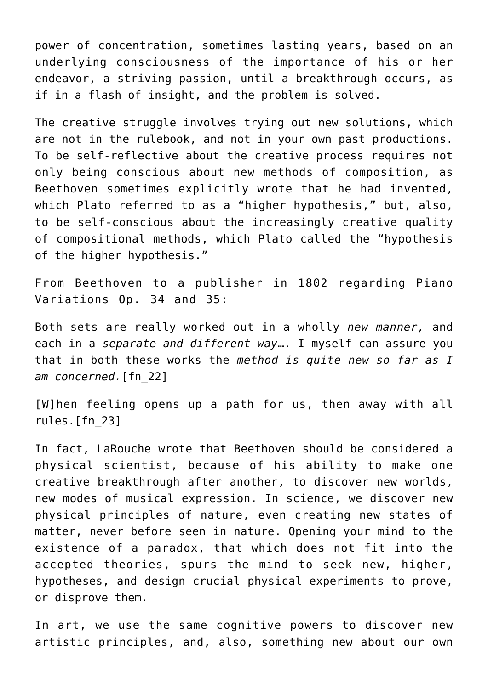power of concentration, sometimes lasting years, based on an underlying consciousness of the importance of his or her endeavor, a striving passion, until a breakthrough occurs, as if in a flash of insight, and the problem is solved.

The creative struggle involves trying out new solutions, which are not in the rulebook, and not in your own past productions. To be self-reflective about the creative process requires not only being conscious about new methods of composition, as Beethoven sometimes explicitly wrote that he had invented, which Plato referred to as a "higher hypothesis," but, also, to be self-conscious about the increasingly creative quality of compositional methods, which Plato called the "hypothesis of the higher hypothesis."

From Beethoven to a publisher in 1802 regarding Piano Variations Op. 34 and 35:

Both sets are really worked out in a wholly *new manner,* and each in a *separate and different way*…. I myself can assure you that in both these works the *method is quite new so far as I am concerned.*[\[fn\\_22\]](https://larouchepub.com/other/2021/4810-beethoven_and_creativity.html#footnote-034)

[W]hen feeling opens up a path for us, then away with all rules[.\[fn\\_23\]](https://larouchepub.com/other/2021/4810-beethoven_and_creativity.html#footnote-033)

In fact, LaRouche wrote that Beethoven should be considered a physical scientist, because of his ability to make one creative breakthrough after another, to discover new worlds, new modes of musical expression. In science, we discover new physical principles of nature, even creating new states of matter, never before seen in nature. Opening your mind to the existence of a paradox, that which does not fit into the accepted theories, spurs the mind to seek new, higher, hypotheses, and design crucial physical experiments to prove, or disprove them.

In art, we use the same cognitive powers to discover new artistic principles, and, also, something new about our own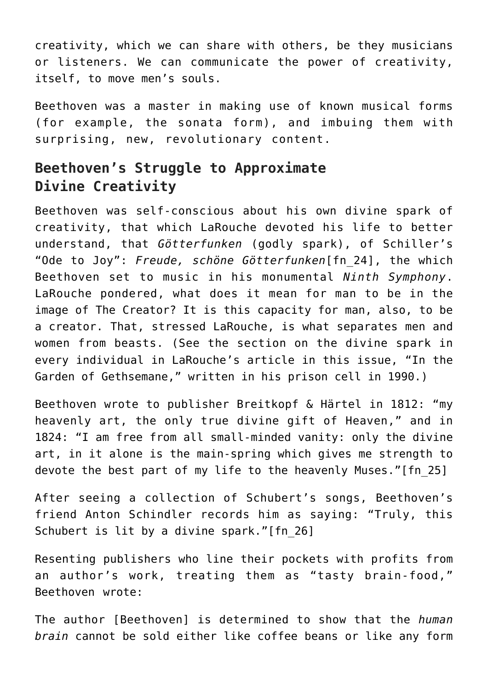creativity, which we can share with others, be they musicians or listeners. We can communicate the power of creativity, itself, to move men's souls.

Beethoven was a master in making use of known musical forms (for example, the sonata form), and imbuing them with surprising, new, revolutionary content.

### **Beethoven's Struggle to Approximate Divine Creativity**

Beethoven was self-conscious about his own divine spark of creativity, that which LaRouche devoted his life to better understand, that *Götterfunken* (godly spark), of Schiller's "Ode to Joy": *Freude, schöne Götterfunken*[\[fn\\_24\],](https://larouchepub.com/other/2021/4810-beethoven_and_creativity.html#footnote-032) the which Beethoven set to music in his monumental *Ninth Symphony*. LaRouche pondered, what does it mean for man to be in the image of The Creator? It is this capacity for man, also, to be a creator. That, stressed LaRouche, is what separates men and women from beasts. (See the section on the divine spark in every individual in LaRouche's article in this issue, "In the Garden of Gethsemane," written in his prison cell in 1990.)

Beethoven wrote to publisher Breitkopf & Härtel in 1812: "my heavenly art, the only true divine gift of Heaven," and in 1824: "I am free from all small-minded vanity: only the divine art, in it alone is the main-spring which gives me strength to devote the best part of my life to the heavenly Muses."[\[fn\\_25\]](https://larouchepub.com/other/2021/4810-beethoven_and_creativity.html#footnote-031)

After seeing a collection of Schubert's songs, Beethoven's friend Anton Schindler records him as saying: "Truly, this Schubert is lit by a divine spark."[fn 26]

Resenting publishers who line their pockets with profits from an author's work, treating them as "tasty brain-food," Beethoven wrote:

The author [Beethoven] is determined to show that the *human brain* cannot be sold either like coffee beans or like any form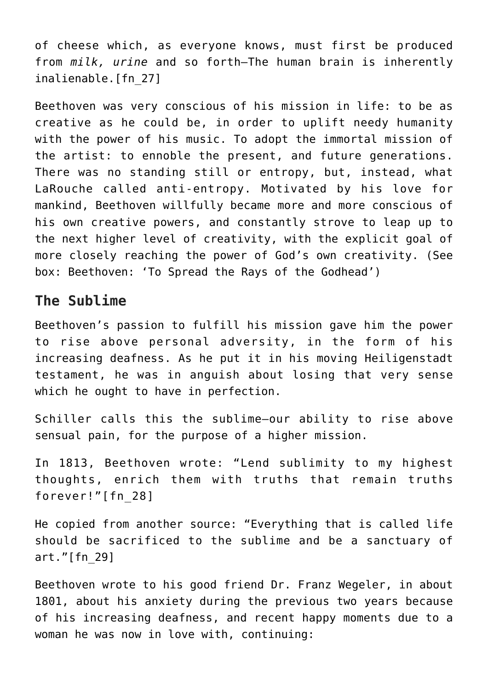of cheese which, as everyone knows, must first be produced from *milk, urine* and so forth—The human brain is inherently inalienable[.\[fn\\_27\]](https://larouchepub.com/other/2021/4810-beethoven_and_creativity.html#footnote-029)

Beethoven was very conscious of his mission in life: to be as creative as he could be, in order to uplift needy humanity with the power of his music. To adopt the immortal mission of the artist: to ennoble the present, and future generations. There was no standing still or entropy, but, instead, what LaRouche called anti-entropy. Motivated by his love for mankind, Beethoven willfully became more and more conscious of his own creative powers, and constantly strove to leap up to the next higher level of creativity, with the explicit goal of more closely reaching the power of God's own creativity. (See box: [Beethoven: 'To Spread the Rays of the Godhead'\)](https://larouchepub.com/other/2021/4810-beethoven_and_creativity.html#godhead)

#### **The Sublime**

Beethoven's passion to fulfill his mission gave him the power to rise above personal adversity, in the form of his increasing deafness. As he put it in his moving Heiligenstadt testament, he was in anguish about losing that very sense which he ought to have in perfection.

Schiller calls this the sublime—our ability to rise above sensual pain, for the purpose of a higher mission.

In 1813, Beethoven wrote: "Lend sublimity to my highest thoughts, enrich them with truths that remain truths forever!"[\[fn\\_28\]](https://larouchepub.com/other/2021/4810-beethoven_and_creativity.html#footnote-028)

He copied from another source: "Everything that is called life should be sacrificed to the sublime and be a sanctuary of art.["\[fn\\_29\]](https://larouchepub.com/other/2021/4810-beethoven_and_creativity.html#footnote-027)

Beethoven wrote to his good friend Dr. Franz Wegeler, in about 1801, about his anxiety during the previous two years because of his increasing deafness, and recent happy moments due to a woman he was now in love with, continuing: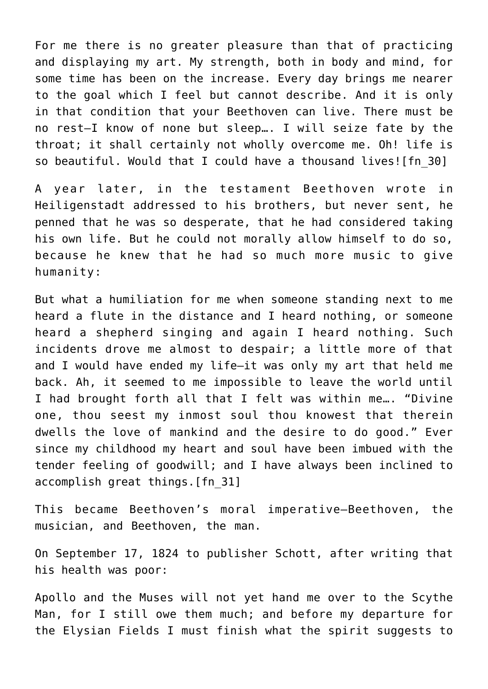For me there is no greater pleasure than that of practicing and displaying my art. My strength, both in body and mind, for some time has been on the increase. Every day brings me nearer to the goal which I feel but cannot describe. And it is only in that condition that your Beethoven can live. There must be no rest—I know of none but sleep…. I will seize fate by the throat; it shall certainly not wholly overcome me. Oh! life is so beautiful. Would that I could have a thousand lives![\[fn\\_30\]](https://larouchepub.com/other/2021/4810-beethoven_and_creativity.html#footnote-026)

A year later, in the testament Beethoven wrote in Heiligenstadt addressed to his brothers, but never sent, he penned that he was so desperate, that he had considered taking his own life. But he could not morally allow himself to do so, because he knew that he had so much more music to give humanity:

But what a humiliation for me when someone standing next to me heard a flute in the distance and I heard nothing, or someone heard a shepherd singing and again I heard nothing. Such incidents drove me almost to despair; a little more of that and I would have ended my life—it was only my art that held me back. Ah, it seemed to me impossible to leave the world until I had brought forth all that I felt was within me…. "Divine one, thou seest my inmost soul thou knowest that therein dwells the love of mankind and the desire to do good." Ever since my childhood my heart and soul have been imbued with the tender feeling of goodwill; and I have always been inclined to accomplish great things.[\[fn\\_31\]](https://larouchepub.com/other/2021/4810-beethoven_and_creativity.html#footnote-025)

This became Beethoven's moral imperative—Beethoven, the musician, and Beethoven, the man.

On September 17, 1824 to publisher Schott, after writing that his health was poor:

Apollo and the Muses will not yet hand me over to the Scythe Man, for I still owe them much; and before my departure for the Elysian Fields I must finish what the spirit suggests to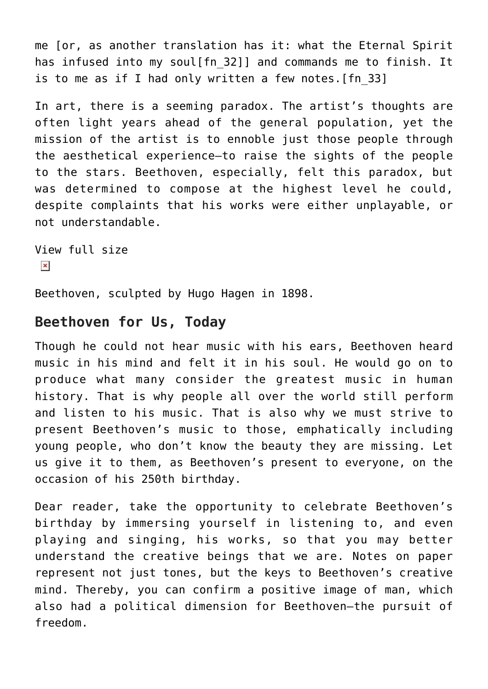me [or, as another translation has it: what the Eternal Spirit has infused into my soul[fn 32]] and commands me to finish. It is to me as if I had only written a few notes[.\[fn\\_33\]](https://larouchepub.com/other/2021/4810-beethoven_and_creativity.html#footnote-023)

In art, there is a seeming paradox. The artist's thoughts are often light years ahead of the general population, yet the mission of the artist is to ennoble just those people through the aesthetical experience—to raise the sights of the people to the stars. Beethoven, especially, felt this paradox, but was determined to compose at the highest level he could, despite complaints that his works were either unplayable, or not understandable.

[View full size](https://larouchepub.com/graphics/2021/4810/lg/Beethoven_bust_statue_by_Hagen.jpg)  $\pmb{\times}$ 

Beethoven, sculpted by Hugo Hagen in 1898.

#### **Beethoven for Us, Today**

Though he could not hear music with his ears, Beethoven heard music in his mind and felt it in his soul. He would go on to produce what many consider the greatest music in human history. That is why people all over the world still perform and listen to his music. That is also why we must strive to present Beethoven's music to those, emphatically including young people, who don't know the beauty they are missing. Let us give it to them, as Beethoven's present to everyone, on the occasion of his 250th birthday.

Dear reader, take the opportunity to celebrate Beethoven's birthday by immersing yourself in listening to, and even playing and singing, his works, so that you may better understand the creative beings that we are. Notes on paper represent not just tones, but the keys to Beethoven's creative mind. Thereby, you can confirm a positive image of man, which also had a political dimension for Beethoven—the pursuit of freedom.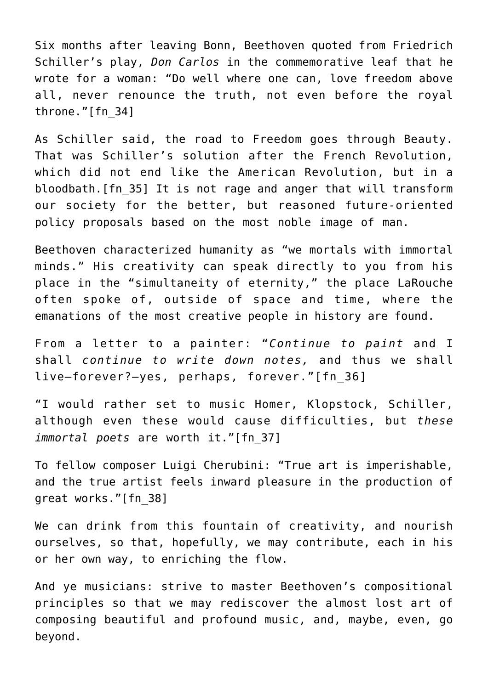Six months after leaving Bonn, Beethoven quoted from Friedrich Schiller's play, *Don Carlos* in the commemorative leaf that he wrote for a woman: "Do well where one can, love freedom above all, never renounce the truth, not even before the royal throne."[\[fn\\_34\]](https://larouchepub.com/other/2021/4810-beethoven_and_creativity.html#footnote-022)

As Schiller said, the road to Freedom goes through Beauty. That was Schiller's solution after the French Revolution, which did not end like the American Revolution, but in a bloodbath.[\[fn\\_35\]](https://larouchepub.com/other/2021/4810-beethoven_and_creativity.html#footnote-021) It is not rage and anger that will transform our society for the better, but reasoned future-oriented policy proposals based on the most noble image of man.

Beethoven characterized humanity as "we mortals with immortal minds." His creativity can speak directly to you from his place in the "simultaneity of eternity," the place LaRouche often spoke of, outside of space and time, where the emanations of the most creative people in history are found.

From a letter to a painter: "*Continue to paint* and I shall *continue to write down notes,* and thus we shall live—forever?—yes, perhaps, forever."[\[fn\\_36\]](https://larouchepub.com/other/2021/4810-beethoven_and_creativity.html#footnote-020)

"I would rather set to music Homer, Klopstock, Schiller, although even these would cause difficulties, but *these immortal poets* are worth it.["\[fn\\_37\]](https://larouchepub.com/other/2021/4810-beethoven_and_creativity.html#footnote-019)

To fellow composer Luigi Cherubini: "True art is imperishable, and the true artist feels inward pleasure in the production of great works.["\[fn\\_38\]](https://larouchepub.com/other/2021/4810-beethoven_and_creativity.html#footnote-018)

We can drink from this fountain of creativity, and nourish ourselves, so that, hopefully, we may contribute, each in his or her own way, to enriching the flow.

And ye musicians: strive to master Beethoven's compositional principles so that we may rediscover the almost lost art of composing beautiful and profound music, and, maybe, even, go beyond.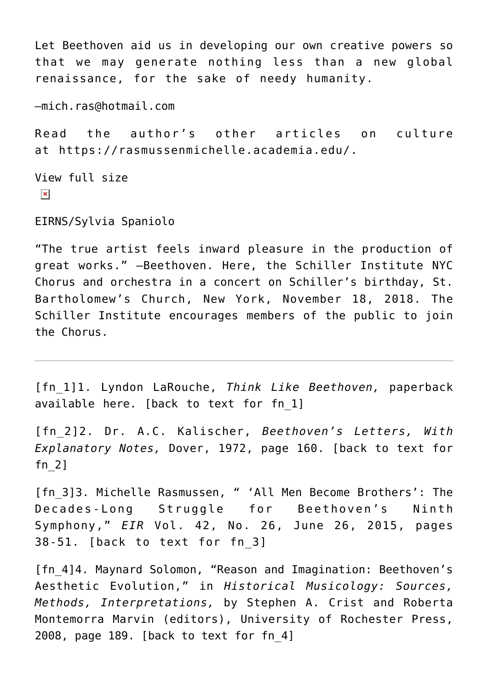Let Beethoven aid us in developing our own creative powers so that we may generate nothing less than a new global renaissance, for the sake of needy humanity.

*—*[mich.ras@hotmail.com](mailto:mich.ras%40hotmail.com?subject=EIR%20March%205%2C%202021)

Read the author's other articles on culture at [https://rasmussenmichelle.academia.edu/.](https://rasmussenmichelle.academia.edu/)

[View full size](https://larouchepub.com/graphics/2021/4810/lg/schiller_11-18-18_birthday_concert_15.jpg)  $\pmb{\times}$ 

EIRNS/Sylvia Spaniolo

"The true artist feels inward pleasure in the production of great works." —Beethoven. Here, the Schiller Institute NYC Chorus and orchestra in a concert on Schiller's birthday, St. Bartholomew's Church, New York, November 18, 2018. The Schiller Institute encourages members of the public to join the Chorus.

[\[fn\\_1\]1](https://larouchepub.com/other/2021/4810-beethoven_and_creativity.html#footnote-055-backlink). Lyndon LaRouche, *Think Like Beethoven,* paperback available [here](https://www.amazon.com/Think-Like-Beethoven-Lyndon-LaRouche/dp/1655185640). [\[back to text for fn\\_1\]](https://larouchepub.com/other/2021/4810-beethoven_and_creativity.html#footnote-055-backlink)

[\[fn\\_2\]2](https://larouchepub.com/other/2021/4810-beethoven_and_creativity.html#footnote-054-backlink). Dr. A.C. Kalischer, *Beethoven's Letters, With Explanatory Notes,* Dover, 1972, page 160. [\[back to text for](https://larouchepub.com/other/2021/4810-beethoven_and_creativity.html#footnote-054-backlink) [fn\\_2\]](https://larouchepub.com/other/2021/4810-beethoven_and_creativity.html#footnote-054-backlink)

[\[fn\\_3\]](https://larouchepub.com/other/2021/4810-beethoven_and_creativity.html#footnote-053-backlink)3. Michelle Rasmussen, " 'All Men Become Brothers': The Decades-Long Struggle for Beethoven's Ninth Symphony," *EIR* Vol. 42, No. 26, June 26, 2015, [pages](https://larouchepub.com/eiw/public/2015/eirv42n26-20150626/38-51_4226.pdf) [38-51](https://larouchepub.com/eiw/public/2015/eirv42n26-20150626/38-51_4226.pdf). [\[back to text for fn\\_3\]](https://larouchepub.com/other/2021/4810-beethoven_and_creativity.html#footnote-053-backlink)

[\[fn\\_4\]4](https://larouchepub.com/other/2021/4810-beethoven_and_creativity.html#footnote-052-backlink). Maynard Solomon, "Reason and Imagination: Beethoven's Aesthetic Evolution," in *Historical Musicology: Sources, Methods, Interpretations,* by Stephen A. Crist and Roberta Montemorra Marvin (editors), University of Rochester Press, 2008, page 189. [\[back to text for fn\\_4\]](https://larouchepub.com/other/2021/4810-beethoven_and_creativity.html#footnote-052-backlink)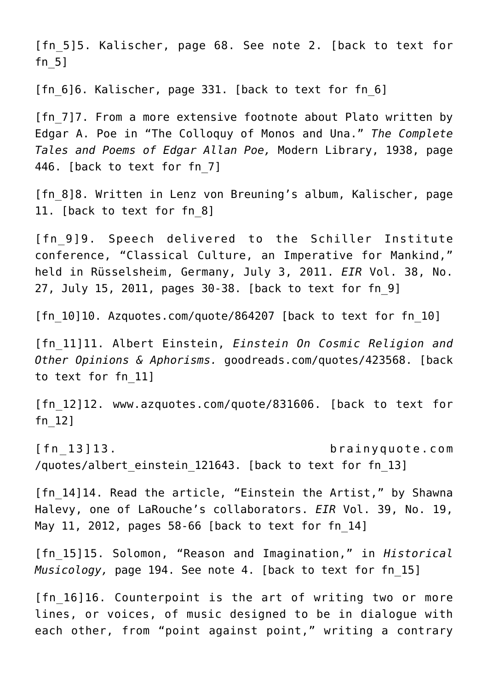[\[fn\\_5\]](https://larouchepub.com/other/2021/4810-beethoven_and_creativity.html#footnote-051-backlink)5. Kalischer, page 68. See note 2. [\[back to text for](https://larouchepub.com/other/2021/4810-beethoven_and_creativity.html#footnote-051-backlink) [fn\\_5\]](https://larouchepub.com/other/2021/4810-beethoven_and_creativity.html#footnote-051-backlink)

 $[fn 6]6.$  Kalischer, page 331.  $[back to text for fn 6]$ 

[fn 7]7. From a more extensive footnote about Plato written by Edgar A. Poe in "The Colloquy of Monos and Una." *The Complete Tales and Poems of Edgar Allan Poe,* Modern Library, 1938, page 446. [\[back to text for fn\\_7\]](https://larouchepub.com/other/2021/4810-beethoven_and_creativity.html#footnote-049-backlink)

[fn 8]8. Written in Lenz von Breuning's album, Kalischer, page 11. [\[back to text for fn\\_8\]](https://larouchepub.com/other/2021/4810-beethoven_and_creativity.html#footnote-048-backlink)

[\[fn\\_9\]](https://larouchepub.com/other/2021/4810-beethoven_and_creativity.html#footnote-047-backlink)9. Speech delivered to the Schiller Institute conference, "Classical Culture, an Imperative for Mankind," held in Rüsselsheim, Germany, July 3, 2011. *EIR* Vol. 38, No. 27, July 15, 2011, pages 30-38. [\[back to text for fn\\_9\]](https://larouchepub.com/other/2021/4810-beethoven_and_creativity.html#footnote-047-backlink)

[\[fn\\_10\]](https://larouchepub.com/other/2021/4810-beethoven_and_creativity.html#footnote-046-backlink)10. Azquotes.com/quote/864207 [\[back to text for fn\\_10\]](https://larouchepub.com/other/2021/4810-beethoven_and_creativity.html#footnote-046-backlink)

[\[fn\\_11\]1](https://larouchepub.com/other/2021/4810-beethoven_and_creativity.html#footnote-045-backlink)1. Albert Einstein, *Einstein On Cosmic Religion and Other Opinions & Aphorisms.* goodreads.com/quotes/423568. [\[back](https://larouchepub.com/other/2021/4810-beethoven_and_creativity.html#footnote-045-backlink) [to text for fn\\_11\]](https://larouchepub.com/other/2021/4810-beethoven_and_creativity.html#footnote-045-backlink)

[\[fn\\_12\]1](https://larouchepub.com/other/2021/4810-beethoven_and_creativity.html#footnote-044-backlink)2. www.azquotes.com/quote/831606. [\[back to text for](https://larouchepub.com/other/2021/4810-beethoven_and_creativity.html#footnote-044-backlink) [fn\\_12\]](https://larouchepub.com/other/2021/4810-beethoven_and_creativity.html#footnote-044-backlink)

[\[fn\\_13\]](https://larouchepub.com/other/2021/4810-beethoven_and_creativity.html#footnote-043-backlink)13. brainyquote.com /quotes/albert\_einstein\_121643. [\[back to text for fn\\_13\]](https://larouchepub.com/other/2021/4810-beethoven_and_creativity.html#footnote-043-backlink)

[fn 14]14. Read the article, "Einstein the Artist," by Shawna Halevy, one of LaRouche's collaborators. *EIR* Vol. 39, No. 19, May 11, 2012, [pages 58-66](https://larouchepub.com/eiw/public/2012/eirv39n19-20120511/58-66_3919.pdf) [\[back to text for fn\\_14\]](https://larouchepub.com/other/2021/4810-beethoven_and_creativity.html#footnote-042-backlink)

[\[fn\\_15\]1](https://larouchepub.com/other/2021/4810-beethoven_and_creativity.html#footnote-041-backlink)5. Solomon, "Reason and Imagination," in *Historical Musicology,* page 194. See note 4. [\[back to text for fn\\_15\]](https://larouchepub.com/other/2021/4810-beethoven_and_creativity.html#footnote-041-backlink)

[\[fn\\_16\]1](https://larouchepub.com/other/2021/4810-beethoven_and_creativity.html#footnote-040-backlink)6. Counterpoint is the art of writing two or more lines, or voices, of music designed to be in dialogue with each other, from "point against point," writing a contrary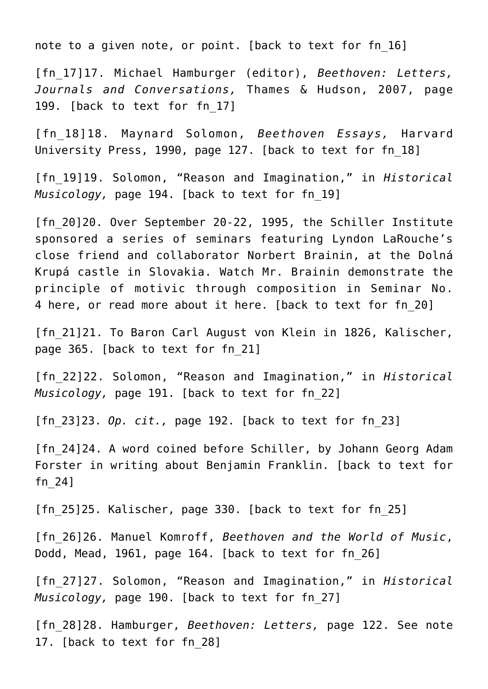note to a given note, or point. [\[back to text for fn\\_16\]](https://larouchepub.com/other/2021/4810-beethoven_and_creativity.html#footnote-040-backlink)

[\[fn\\_17\]1](https://larouchepub.com/other/2021/4810-beethoven_and_creativity.html#footnote-039-backlink)7. Michael Hamburger (editor), *Beethoven: Letters, Journals and Conversations,* Thames & Hudson, 2007, page 199. [\[back to text for fn\\_17\]](https://larouchepub.com/other/2021/4810-beethoven_and_creativity.html#footnote-039-backlink)

[\[fn\\_18\]1](https://larouchepub.com/other/2021/4810-beethoven_and_creativity.html#footnote-038-backlink)8. Maynard Solomon, *Beethoven Essays,* Harvard University Press, 1990, page 127. [\[back to text for fn\\_18\]](https://larouchepub.com/other/2021/4810-beethoven_and_creativity.html#footnote-038-backlink)

[\[fn\\_19\]1](https://larouchepub.com/other/2021/4810-beethoven_and_creativity.html#footnote-037-backlink)9. Solomon, "Reason and Imagination," in *Historical Musicology,* page 194. [\[back to text for fn\\_19\]](https://larouchepub.com/other/2021/4810-beethoven_and_creativity.html#footnote-037-backlink)

[\[fn\\_20\]2](https://larouchepub.com/other/2021/4810-beethoven_and_creativity.html#footnote-036-backlink)0. Over September 20-22, 1995, the Schiller Institute sponsored a series of seminars featuring Lyndon LaRouche's close friend and collaborator Norbert Brainin, at the Dolná Krupá castle in Slovakia. Watch Mr. Brainin demonstrate the principle of motivic through composition in Seminar No. 4 [here](https://youtu.be/Hk74vsoMKLc), or read more about it [here.](https://archive.schillerinstitute.com/music/1995/brainin_demo1.html) [\[back to text for fn\\_20\]](https://larouchepub.com/other/2021/4810-beethoven_and_creativity.html#footnote-036-backlink)

[\[fn\\_21\]2](https://larouchepub.com/other/2021/4810-beethoven_and_creativity.html#footnote-035-backlink)1. To Baron Carl August von Klein in 1826, Kalischer, page 365. [\[back to text for fn\\_21\]](https://larouchepub.com/other/2021/4810-beethoven_and_creativity.html#footnote-035-backlink)

[\[fn\\_22\]2](https://larouchepub.com/other/2021/4810-beethoven_and_creativity.html#footnote-034-backlink)2. Solomon, "Reason and Imagination," in *Historical Musicology,* page 191. [\[back to text for fn\\_22\]](https://larouchepub.com/other/2021/4810-beethoven_and_creativity.html#footnote-034-backlink)

[\[fn\\_23\]](https://larouchepub.com/other/2021/4810-beethoven_and_creativity.html#footnote-033-backlink)23. *Op. cit.,* page 192. [\[back to text for fn\\_23\]](https://larouchepub.com/other/2021/4810-beethoven_and_creativity.html#footnote-033-backlink)

[fn 24]24. A word coined before Schiller, by Johann Georg Adam Forster in writing about Benjamin Franklin. [\[back to text for](https://larouchepub.com/other/2021/4810-beethoven_and_creativity.html#footnote-032-backlink) [fn\\_24\]](https://larouchepub.com/other/2021/4810-beethoven_and_creativity.html#footnote-032-backlink)

[\[fn\\_25\]](https://larouchepub.com/other/2021/4810-beethoven_and_creativity.html#footnote-031-backlink)25. Kalischer, page 330. [\[back to text for fn\\_25\]](https://larouchepub.com/other/2021/4810-beethoven_and_creativity.html#footnote-031-backlink)

[\[fn\\_26\]](https://larouchepub.com/other/2021/4810-beethoven_and_creativity.html#footnote-030-backlink)26. Manuel Komroff, *Beethoven and the World of Music*, Dodd, Mead, 1961, page 164. [\[back to text for fn\\_26\]](https://larouchepub.com/other/2021/4810-beethoven_and_creativity.html#footnote-030-backlink)

[\[fn\\_27\]2](https://larouchepub.com/other/2021/4810-beethoven_and_creativity.html#footnote-029-backlink)7. Solomon, "Reason and Imagination," in *Historical Musicology,* page 190. [\[back to text for fn\\_27\]](https://larouchepub.com/other/2021/4810-beethoven_and_creativity.html#footnote-029-backlink)

[\[fn\\_28\]](https://larouchepub.com/other/2021/4810-beethoven_and_creativity.html#footnote-028-backlink)28. Hamburger, *Beethoven: Letters,* page 122. See note 17. [\[back to text for fn\\_28\]](https://larouchepub.com/other/2021/4810-beethoven_and_creativity.html#footnote-028-backlink)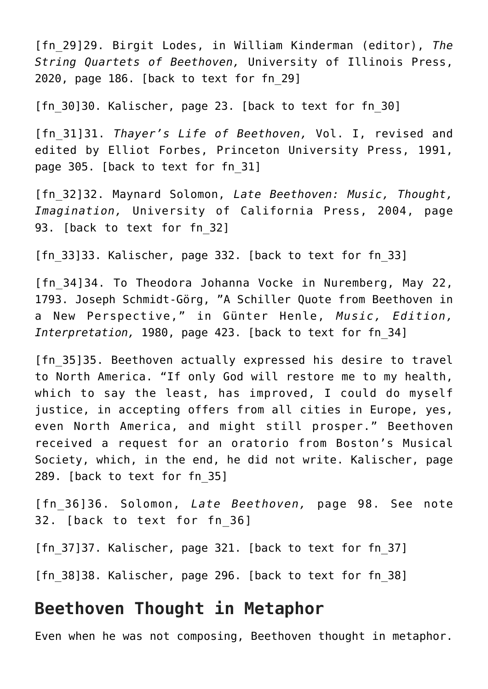[\[fn\\_29\]2](https://larouchepub.com/other/2021/4810-beethoven_and_creativity.html#footnote-027-backlink)9. Birgit Lodes, in William Kinderman (editor), *The String Quartets of Beethoven,* University of Illinois Press, 2020, page 186. [\[back to text for fn\\_29\]](https://larouchepub.com/other/2021/4810-beethoven_and_creativity.html#footnote-027-backlink)

[\[fn\\_30\]](https://larouchepub.com/other/2021/4810-beethoven_and_creativity.html#footnote-026-backlink)30. Kalischer, page 23. [\[back to text for fn\\_30\]](https://larouchepub.com/other/2021/4810-beethoven_and_creativity.html#footnote-026-backlink)

[\[fn\\_31\]3](https://larouchepub.com/other/2021/4810-beethoven_and_creativity.html#footnote-025-backlink)1. *Thayer's Life of Beethoven,* Vol. I, revised and edited by Elliot Forbes, Princeton University Press, 1991, page 305. [\[back to text for fn\\_31\]](https://larouchepub.com/other/2021/4810-beethoven_and_creativity.html#footnote-025-backlink)

[\[fn\\_32\]3](https://larouchepub.com/other/2021/4810-beethoven_and_creativity.html#footnote-024-backlink)2. Maynard Solomon, *Late Beethoven: Music, Thought, Imagination,* University of California Press, 2004, page 93. [\[back to text for fn\\_32\]](https://larouchepub.com/other/2021/4810-beethoven_and_creativity.html#footnote-024-backlink)

[\[fn\\_33\]](https://larouchepub.com/other/2021/4810-beethoven_and_creativity.html#footnote-023-backlink)33. Kalischer, page 332. [\[back to text for fn\\_33\]](https://larouchepub.com/other/2021/4810-beethoven_and_creativity.html#footnote-023-backlink)

[fn 34]34. To Theodora Johanna Vocke in Nuremberg, May 22, 1793. Joseph Schmidt-Görg, "A Schiller Quote from Beethoven in a New Perspective," in Günter Henle, *Music, Edition, Interpretation,* 1980, page 423. [\[back to text for fn\\_34\]](https://larouchepub.com/other/2021/4810-beethoven_and_creativity.html#footnote-022-backlink)

[\[fn\\_35\]](https://larouchepub.com/other/2021/4810-beethoven_and_creativity.html#footnote-021-backlink)35. Beethoven actually expressed his desire to travel to North America. "If only God will restore me to my health, which to say the least, has improved, I could do myself justice, in accepting offers from all cities in Europe, yes, even North America, and might still prosper." Beethoven received a request for an oratorio from Boston's Musical Society, which, in the end, he did not write. Kalischer, page 289. [\[back to text for fn\\_35\]](https://larouchepub.com/other/2021/4810-beethoven_and_creativity.html#footnote-021-backlink)

[\[fn\\_36\]3](https://larouchepub.com/other/2021/4810-beethoven_and_creativity.html#footnote-020-backlink)6. Solomon, *Late Beethoven,* page 98. See note 32. [\[back to text for fn\\_36\]](https://larouchepub.com/other/2021/4810-beethoven_and_creativity.html#footnote-020-backlink)

[\[fn\\_37\]](https://larouchepub.com/other/2021/4810-beethoven_and_creativity.html#footnote-019-backlink)37. Kalischer, page 321. [\[back to text for fn\\_37\]](https://larouchepub.com/other/2021/4810-beethoven_and_creativity.html#footnote-019-backlink)

[\[fn\\_38\]](https://larouchepub.com/other/2021/4810-beethoven_and_creativity.html#footnote-018-backlink)38. Kalischer, page 296. [\[back to text for fn\\_38\]](https://larouchepub.com/other/2021/4810-beethoven_and_creativity.html#footnote-018-backlink)

#### **Beethoven Thought in Metaphor**

Even when he was not composing, Beethoven thought in metaphor.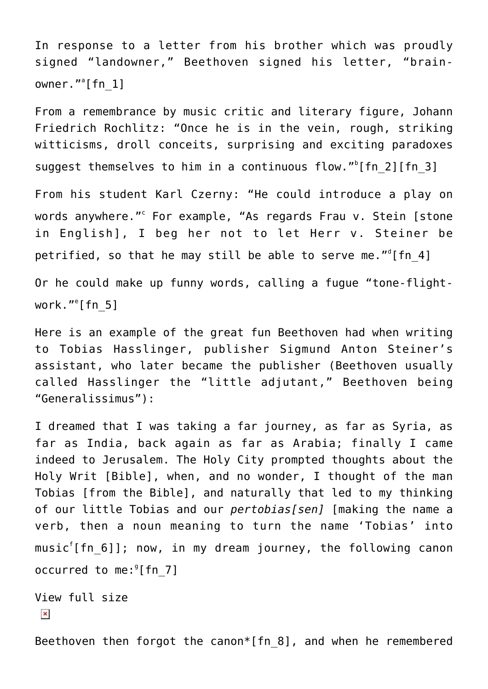In response to a letter from his brother which was proudly signed "landowner," Beethoven signed his letter, "brainowner. $"^a$ [\[fn\\_1\]](https://larouchepub.com/other/2021/4810-beethoven_and_creativity.html#footnote-017)

From a remembrance by music critic and literary figure, Johann Friedrich Rochlitz: "Once he is in the vein, rough, striking witticisms, droll conceits, surprising and exciting paradoxes suggest themselves to him in a continuous flow."<sup>b</sup>[\[fn\\_2\]](https://larouchepub.com/other/2021/4810-beethoven_and_creativity.html#footnote-016)[\[fn\\_3\]](https://larouchepub.com/other/2021/4810-beethoven_and_creativity.html#footnote-015)

From his student Karl Czerny: "He could introduce a play on words anywhere." $^{\circ}$  For example, "As regards Frau v. Stein [stone in English], I beg her not to let Herr v. Steiner be petrified, so that he may still be able to serve me."<sup>d</sup>[\[fn\\_4\]](https://larouchepub.com/other/2021/4810-beethoven_and_creativity.html#footnote-014)

Or he could make up funny words, calling a fugue "tone-flightwork."<sup>e</sup> [\[fn\\_5\]](https://larouchepub.com/other/2021/4810-beethoven_and_creativity.html#footnote-013)

Here is an example of the great fun Beethoven had when writing to Tobias Hasslinger, publisher Sigmund Anton Steiner's assistant, who later became the publisher (Beethoven usually called Hasslinger the "little adjutant," Beethoven being "Generalissimus"):

```
I dreamed that I was taking a far journey, as far as Syria, as
far as India, back again as far as Arabia; finally I came
indeed to Jerusalem. The Holy City prompted thoughts about the
Holy Writ [Bible], when, and no wonder, I thought of the man
Tobias [from the Bible], and naturally that led to my thinking
of our little Tobias and our pertobias[sen] [making the name a
verb, then a noun meaning to turn the name 'Tobias' into
musicf
[fn_6]]; now, in my dream journey, the following canon
[fn_7]
```
[View full size](https://larouchepub.com/graphics/2021/4810/lg/O_tobias.jpg)  $\pmb{\times}$ 

Beethoven then forgot the canon\*[fn 8], and when he remembered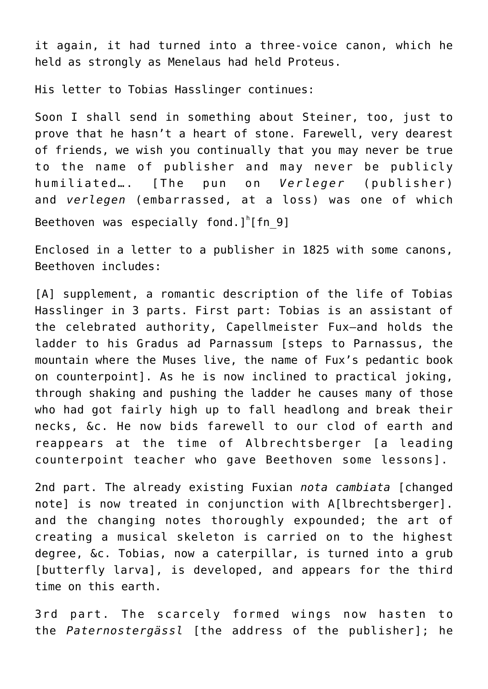it again, it had turned into a three-voice canon, which he held as strongly as Menelaus had held Proteus.

His letter to Tobias Hasslinger continues:

Soon I shall send in something about Steiner, too, just to prove that he hasn't a heart of stone. Farewell, very dearest of friends, we wish you continually that you may never be true to the name of publisher and may never be publicly humiliated…. [The pun on *Verleger* (publisher) and *verlegen* (embarrassed, at a loss) was one of which Beethoven was especially fond.] $^h$ [\[fn\\_9\]](https://larouchepub.com/other/2021/4810-beethoven_and_creativity.html#footnote-009)

Enclosed in a letter to a publisher in 1825 with some canons, Beethoven includes:

[A] supplement, a romantic description of the life of Tobias Hasslinger in 3 parts. First part: Tobias is an assistant of the celebrated authority, Capellmeister Fux—and holds the ladder to his Gradus ad Parnassum [steps to Parnassus, the mountain where the Muses live, the name of Fux's pedantic book on counterpoint]. As he is now inclined to practical joking, through shaking and pushing the ladder he causes many of those who had got fairly high up to fall headlong and break their necks, &c. He now bids farewell to our clod of earth and reappears at the time of Albrechtsberger [a leading counterpoint teacher who gave Beethoven some lessons].

2nd part. The already existing Fuxian *nota cambiata* [changed note] is now treated in conjunction with A[lbrechtsberger]. and the changing notes thoroughly expounded; the art of creating a musical skeleton is carried on to the highest degree, &c. Tobias, now a caterpillar, is turned into a grub [butterfly larva], is developed, and appears for the third time on this earth.

3rd part. The scarcely formed wings now hasten to the *Paternostergässl* [the address of the publisher]; he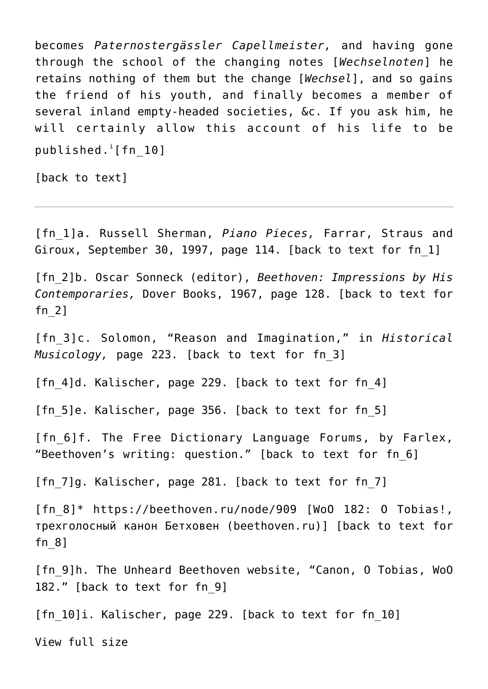becomes *Paternostergässler Capellmeister,* and having gone through the school of the changing notes [*Wechselnoten*] he retains nothing of them but the change [*Wechsel*], and so gains the friend of his youth, and finally becomes a member of several inland empty-headed societies, &c. If you ask him, he will certainly allow this account of his life to be published.<sup>i</sup>[\[fn\\_10\]](https://larouchepub.com/other/2021/4810-beethoven_and_creativity.html#footnote-008)

[\[back to text\]](https://larouchepub.com/other/2021/4810-beethoven_and_creativity.html#bmetaphor)

[\[fn\\_1\]](https://larouchepub.com/other/2021/4810-beethoven_and_creativity.html#footnote-017-backlink)a. Russell Sherman, *Piano Pieces,* Farrar, Straus and Giroux, September 30, 1997, page 114. [\[back to text for fn\\_1\]](https://larouchepub.com/other/2021/4810-beethoven_and_creativity.html#footnote-017-backlink)

[\[fn\\_2\]b](https://larouchepub.com/other/2021/4810-beethoven_and_creativity.html#footnote-016-backlink). Oscar Sonneck (editor), *Beethoven: Impressions by His Contemporaries,* Dover Books, 1967, page 128. [\[back to text for](https://larouchepub.com/other/2021/4810-beethoven_and_creativity.html#footnote-016-backlink) [fn\\_2\]](https://larouchepub.com/other/2021/4810-beethoven_and_creativity.html#footnote-016-backlink)

[\[fn\\_3\]c](https://larouchepub.com/other/2021/4810-beethoven_and_creativity.html#footnote-015-backlink). Solomon, "Reason and Imagination," in *Historical Musicology,* page 223. [\[back to text for fn\\_3\]](https://larouchepub.com/other/2021/4810-beethoven_and_creativity.html#footnote-015-backlink)

[fn 4]d. Kalischer, page 229. [back to text for fn 4]

[fn 5]e. Kalischer, page 356. [back to text for fn 5]

[fn 6]f. The Free Dictionary Language Forums, by Farlex, "[Beethoven's writing: question](https://forum.thefreedictionary.com/postst94588_Beethoven-s-writing--question.aspx)." [\[back to text for fn\\_6\]](https://larouchepub.com/other/2021/4810-beethoven_and_creativity.html#footnote-012-backlink)

[fn 7]g. Kalischer, page 281. [back to text for fn 7]

 $[fn 8]* http://beethoven.ru/node/909 [WoO 182: 0 Tobias!,$ трехголосный канон Бетховен (beethoven.ru)] [\[back to text for](https://larouchepub.com/other/2021/4810-beethoven_and_creativity.html#footnote-010-backlink) [fn\\_8\]](https://larouchepub.com/other/2021/4810-beethoven_and_creativity.html#footnote-010-backlink)

[\[fn\\_9\]](https://larouchepub.com/other/2021/4810-beethoven_and_creativity.html#footnote-009-backlink)h. The Unheard Beethoven website, ["Canon, O Tobias, WoO](https://unheardbeethoven.org/search.php?Identifier=woo182) [182.](https://unheardbeethoven.org/search.php?Identifier=woo182)" [\[back to text for fn\\_9\]](https://larouchepub.com/other/2021/4810-beethoven_and_creativity.html#footnote-009-backlink)

[fn 10]i. Kalischer, page 229. [back to text for fn 10]

[View full size](https://larouchepub.com/graphics/2021/4810/lg/o_tobias_full_BW.jpg)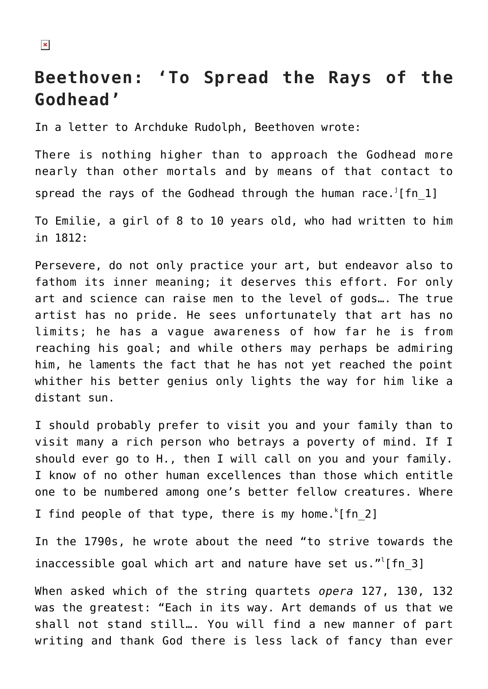$\pmb{\times}$ 

### **Beethoven: 'To Spread the Rays of the Godhead'**

In a letter to Archduke Rudolph, Beethoven wrote:

There is nothing higher than to approach the Godhead more nearly than other mortals and by means of that contact to spread the rays of the Godhead through the human race.<sup>j</sup>[\[fn\\_1\]](https://larouchepub.com/other/2021/4810-beethoven_and_creativity.html#footnote-007)

To Emilie, a girl of 8 to 10 years old, who had written to him in 1812:

Persevere, do not only practice your art, but endeavor also to fathom its inner meaning; it deserves this effort. For only art and science can raise men to the level of gods…. The true artist has no pride. He sees unfortunately that art has no limits; he has a vague awareness of how far he is from reaching his goal; and while others may perhaps be admiring him, he laments the fact that he has not yet reached the point whither his better genius only lights the way for him like a distant sun.

I should probably prefer to visit you and your family than to visit many a rich person who betrays a poverty of mind. If I should ever go to H., then I will call on you and your family. I know of no other human excellences than those which entitle one to be numbered among one's better fellow creatures. Where I find people of that type, there is my home.  $k$ [\[fn\\_2\]](https://larouchepub.com/other/2021/4810-beethoven_and_creativity.html#footnote-006)

In the 1790s, he wrote about the need "to strive towards the inaccessible goal which art and nature have set us."<sup>1</sup>[\[fn\\_3\]](https://larouchepub.com/other/2021/4810-beethoven_and_creativity.html#footnote-005)

When asked which of the string quartets *opera* 127, 130, 132 was the greatest: "Each in its way. Art demands of us that we shall not stand still…. You will find a new manner of part writing and thank God there is less lack of fancy than ever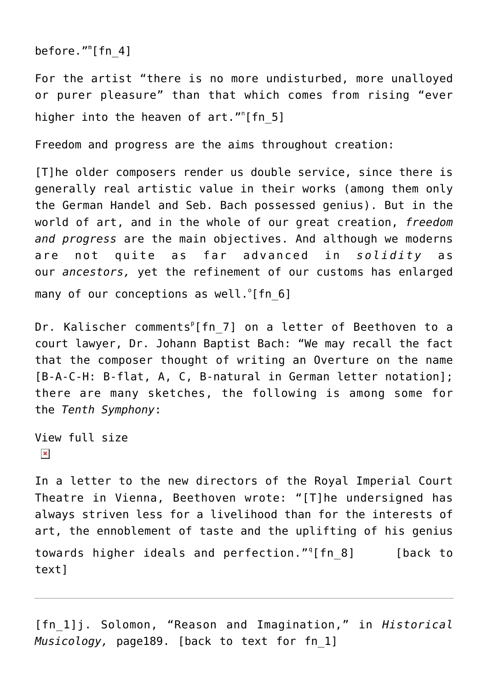before."<sup>m</sup> [\[fn\\_4\]](https://larouchepub.com/other/2021/4810-beethoven_and_creativity.html#footnote-004)

For the artist "there is no more undisturbed, more unalloyed or purer pleasure" than that which comes from rising "ever higher into the heaven of art.""[\[fn\\_5\]](https://larouchepub.com/other/2021/4810-beethoven_and_creativity.html#footnote-003)

Freedom and progress are the aims throughout creation:

[T]he older composers render us double service, since there is generally real artistic value in their works (among them only the German Handel and Seb. Bach possessed genius). But in the world of art, and in the whole of our great creation, *freedom and progress* are the main objectives. And although we moderns are not quite as far advanced in *solidity* as our *ancestors,* yet the refinement of our customs has enlarged many of our conceptions as well. $^{\circ}$ [\[fn\\_6\]](https://larouchepub.com/other/2021/4810-beethoven_and_creativity.html#footnote-002)

Dr. Kalischer comments<sup>p</sup>[\[fn\\_7\]](https://larouchepub.com/other/2021/4810-beethoven_and_creativity.html#footnote-001) on a letter of Beethoven to a court lawyer, Dr. Johann Baptist Bach: "We may recall the fact that the composer thought of writing an Overture on the name [B-A-C-H: B-flat, A, C, B-natural in German letter notation]; there are many sketches, the following is among some for the *Tenth Symphony*:

[View full size](https://larouchepub.com/graphics/2021/4810/lg/20210301-rasmussen-article-graphic.jpg)  $\pmb{\times}$ 

In a letter to the new directors of the Royal Imperial Court Theatre in Vienna, Beethoven wrote: "[T]he undersigned has always striven less for a livelihood than for the interests of art, the ennoblement of taste and the uplifting of his genius towards higher ideals and perfection."<sup>q</sup>[fn 8] **d**  $\blacksquare$  [\[back to](https://larouchepub.com/other/2021/4810-beethoven_and_creativity.html#bgodhead) [text\]](https://larouchepub.com/other/2021/4810-beethoven_and_creativity.html#bgodhead)

[\[fn\\_1\]j](https://larouchepub.com/other/2021/4810-beethoven_and_creativity.html#footnote-007-backlink). Solomon, "Reason and Imagination," in *Historical Musicology,* page189. [\[back to text for fn\\_1\]](https://larouchepub.com/other/2021/4810-beethoven_and_creativity.html#footnote-007-backlink)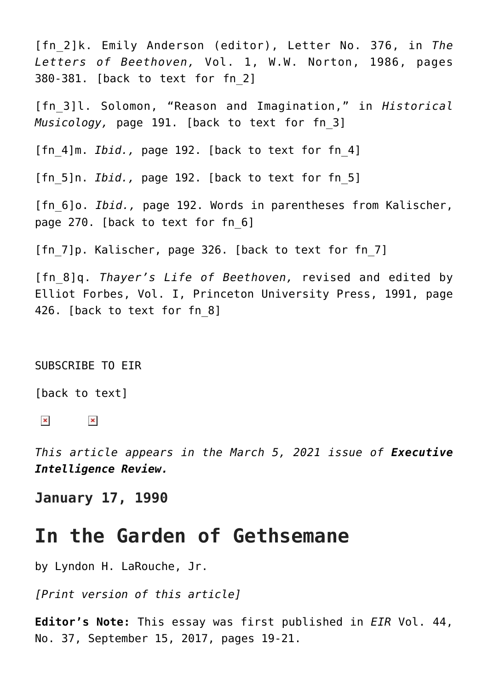[\[fn\\_2\]k](https://larouchepub.com/other/2021/4810-beethoven_and_creativity.html#footnote-006-backlink). Emily Anderson (editor), Letter No. 376, in *The Letters of Beethoven,* Vol. 1, W.W. Norton, 1986, pages 380-381. [\[back to text for fn\\_2\]](https://larouchepub.com/other/2021/4810-beethoven_and_creativity.html#footnote-006-backlink) [\[fn\\_3\]l](https://larouchepub.com/other/2021/4810-beethoven_and_creativity.html#footnote-005-backlink). Solomon, "Reason and Imagination," in *Historical Musicology,* page 191. [\[back to text for fn\\_3\]](https://larouchepub.com/other/2021/4810-beethoven_and_creativity.html#footnote-005-backlink) [\[fn\\_4\]](https://larouchepub.com/other/2021/4810-beethoven_and_creativity.html#footnote-004-backlink)m. *Ibid.,* page 192. [\[back to text for fn\\_4\]](https://larouchepub.com/other/2021/4810-beethoven_and_creativity.html#footnote-004-backlink) [fn 5]n. *Ibid.*, page 192. [back to text for fn 5] [fn 6]o. *Ibid.*, page 192. Words in parentheses from Kalischer, page 270. [\[back to text for fn\\_6\]](https://larouchepub.com/other/2021/4810-beethoven_and_creativity.html#footnote-002-backlink) [\[fn\\_7\]](https://larouchepub.com/other/2021/4810-beethoven_and_creativity.html#footnote-001-backlink)p. Kalischer, page 326. [\[back to text for fn\\_7\]](https://larouchepub.com/other/2021/4810-beethoven_and_creativity.html#footnote-001-backlink) [\[fn\\_8\]](https://larouchepub.com/other/2021/4810-beethoven_and_creativity.html#footnote-000-backlink)q. *Thayer's Life of Beethoven,* revised and edited by Elliot Forbes, Vol. I, Princeton University Press, 1991, page 426. [back to text for fn 8]

[SUBSCRIBE TO EIR](https://store.larouchepub.com/EIR-Subscribe-p/eiwos-0-0-0.htm)

[\[back to text\]](https://larouchepub.com/other/2021/4810-beethoven_and_creativity.html#bgodhead)

 $\mathbf{x}$  $\pmb{\times}$ 

*This article appears in the [March 5, 2021 issue](https://larouchepub.com/eiw/public/2021/eirv48n10-20210305/index.html) of Executive Intelligence Review.*

**January 17, 1990**

### **In the Garden of Gethsemane**

by Lyndon H. LaRouche, Jr.

*[\[Print version of this article\]](https://larouchepub.com/eiw/public/2021/eirv48n10-20210305/eirv48n10-20210305_033-in_the_garden_of_gethsemane-lar.pdf)*

**Editor's Note:** This essay was first published in *EIR* Vol. 44, No. 37, September 15, 2017, pages 19-21.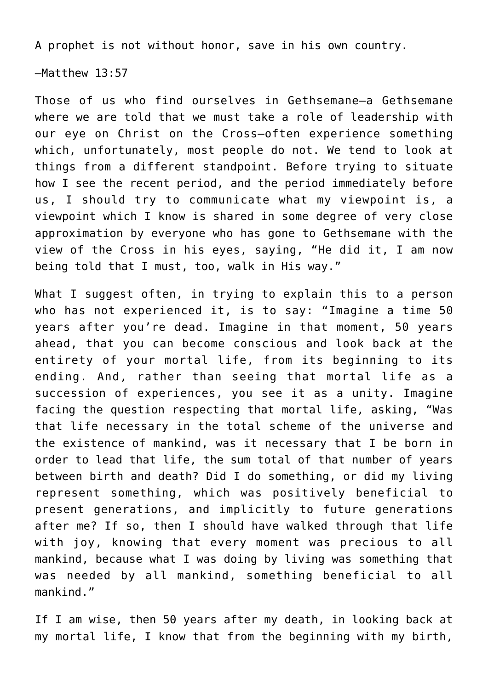A prophet is not without honor, save in his own country.

—Matthew 13:57

Those of us who find ourselves in Gethsemane—a Gethsemane where we are told that we must take a role of leadership with our eye on Christ on the Cross—often experience something which, unfortunately, most people do not. We tend to look at things from a different standpoint. Before trying to situate how I see the recent period, and the period immediately before us, I should try to communicate what my viewpoint is, a viewpoint which I know is shared in some degree of very close approximation by everyone who has gone to Gethsemane with the view of the Cross in his eyes, saying, "He did it, I am now being told that I must, too, walk in His way."

What I suggest often, in trying to explain this to a person who has not experienced it, is to say: "Imagine a time 50 years after you're dead. Imagine in that moment, 50 years ahead, that you can become conscious and look back at the entirety of your mortal life, from its beginning to its ending. And, rather than seeing that mortal life as a succession of experiences, you see it as a unity. Imagine facing the question respecting that mortal life, asking, "Was that life necessary in the total scheme of the universe and the existence of mankind, was it necessary that I be born in order to lead that life, the sum total of that number of years between birth and death? Did I do something, or did my living represent something, which was positively beneficial to present generations, and implicitly to future generations after me? If so, then I should have walked through that life with joy, knowing that every moment was precious to all mankind, because what I was doing by living was something that was needed by all mankind, something beneficial to all mankind."

If I am wise, then 50 years after my death, in looking back at my mortal life, I know that from the beginning with my birth,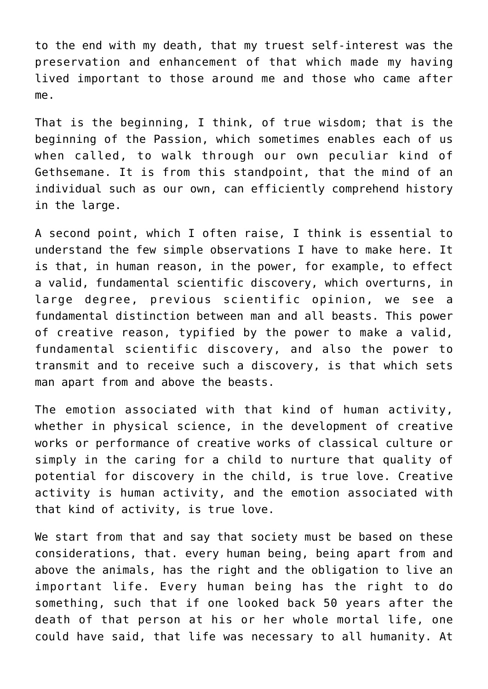to the end with my death, that my truest self-interest was the preservation and enhancement of that which made my having lived important to those around me and those who came after me.

That is the beginning, I think, of true wisdom; that is the beginning of the Passion, which sometimes enables each of us when called, to walk through our own peculiar kind of Gethsemane. It is from this standpoint, that the mind of an individual such as our own, can efficiently comprehend history in the large.

A second point, which I often raise, I think is essential to understand the few simple observations I have to make here. It is that, in human reason, in the power, for example, to effect a valid, fundamental scientific discovery, which overturns, in large degree, previous scientific opinion, we see a fundamental distinction between man and all beasts. This power of creative reason, typified by the power to make a valid, fundamental scientific discovery, and also the power to transmit and to receive such a discovery, is that which sets man apart from and above the beasts.

The emotion associated with that kind of human activity, whether in physical science, in the development of creative works or performance of creative works of classical culture or simply in the caring for a child to nurture that quality of potential for discovery in the child, is true love. Creative activity is human activity, and the emotion associated with that kind of activity, is true love.

We start from that and say that society must be based on these considerations, that. every human being, being apart from and above the animals, has the right and the obligation to live an important life. Every human being has the right to do something, such that if one looked back 50 years after the death of that person at his or her whole mortal life, one could have said, that life was necessary to all humanity. At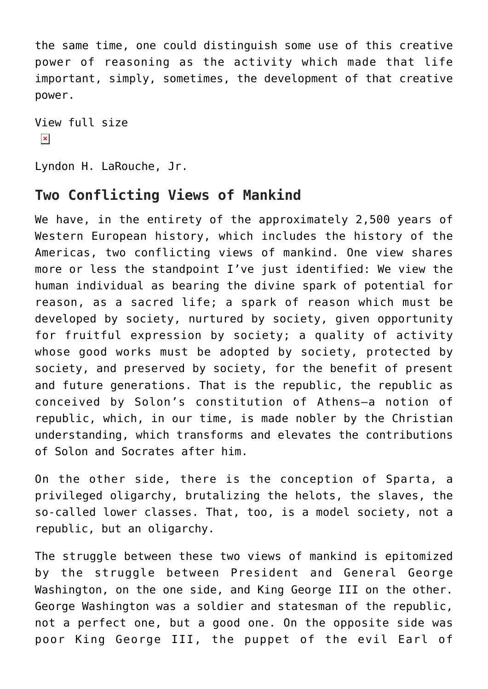the same time, one could distinguish some use of this creative power of reasoning as the activity which made that life important, simply, sometimes, the development of that creative power.

```
View full size
 \pmb{\times}
```
Lyndon H. LaRouche, Jr.

#### **Two Conflicting Views of Mankind**

We have, in the entirety of the approximately 2,500 years of Western European history, which includes the history of the Americas, two conflicting views of mankind. One view shares more or less the standpoint I've just identified: We view the human individual as bearing the divine spark of potential for reason, as a sacred life; a spark of reason which must be developed by society, nurtured by society, given opportunity for fruitful expression by society; a quality of activity whose good works must be adopted by society, protected by society, and preserved by society, for the benefit of present and future generations. That is the republic, the republic as conceived by Solon's constitution of Athens—a notion of republic, which, in our time, is made nobler by the Christian understanding, which transforms and elevates the contributions of Solon and Socrates after him.

On the other side, there is the conception of Sparta, a privileged oligarchy, brutalizing the helots, the slaves, the so-called lower classes. That, too, is a model society, not a republic, but an oligarchy.

The struggle between these two views of mankind is epitomized by the struggle between President and General George Washington, on the one side, and King George III on the other. George Washington was a soldier and statesman of the republic, not a perfect one, but a good one. On the opposite side was poor King George III, the puppet of the evil Earl of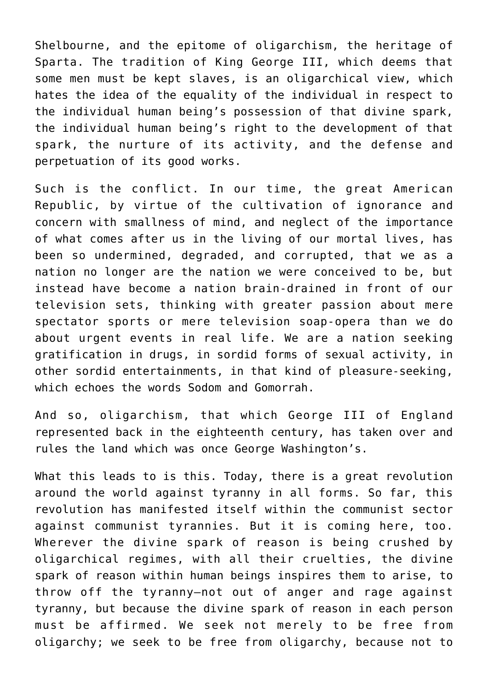Shelbourne, and the epitome of oligarchism, the heritage of Sparta. The tradition of King George III, which deems that some men must be kept slaves, is an oligarchical view, which hates the idea of the equality of the individual in respect to the individual human being's possession of that divine spark, the individual human being's right to the development of that spark, the nurture of its activity, and the defense and perpetuation of its good works.

Such is the conflict. In our time, the great American Republic, by virtue of the cultivation of ignorance and concern with smallness of mind, and neglect of the importance of what comes after us in the living of our mortal lives, has been so undermined, degraded, and corrupted, that we as a nation no longer are the nation we were conceived to be, but instead have become a nation brain-drained in front of our television sets, thinking with greater passion about mere spectator sports or mere television soap-opera than we do about urgent events in real life. We are a nation seeking gratification in drugs, in sordid forms of sexual activity, in other sordid entertainments, in that kind of pleasure-seeking, which echoes the words Sodom and Gomorrah.

And so, oligarchism, that which George III of England represented back in the eighteenth century, has taken over and rules the land which was once George Washington's.

What this leads to is this. Today, there is a great revolution around the world against tyranny in all forms. So far, this revolution has manifested itself within the communist sector against communist tyrannies. But it is coming here, too. Wherever the divine spark of reason is being crushed by oligarchical regimes, with all their cruelties, the divine spark of reason within human beings inspires them to arise, to throw off the tyranny—not out of anger and rage against tyranny, but because the divine spark of reason in each person must be affirmed. We seek not merely to be free from oligarchy; we seek to be free from oligarchy, because not to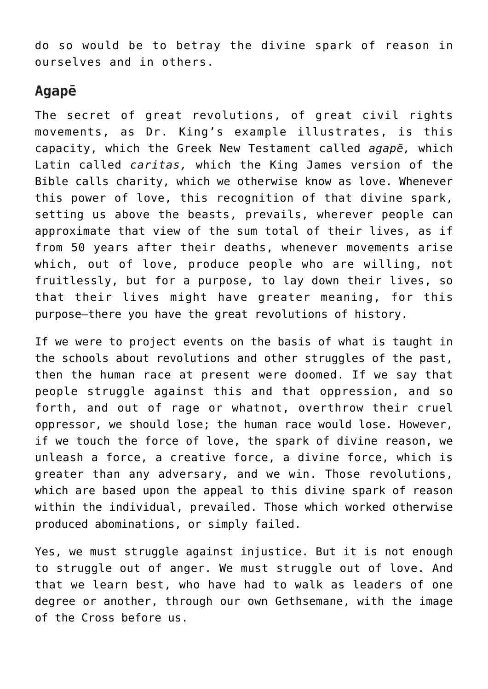do so would be to betray the divine spark of reason in ourselves and in others.

#### **Agapē**

The secret of great revolutions, of great civil rights movements, as Dr. King's example illustrates, is this capacity, which the Greek New Testament called *agapē,* which Latin called *caritas,* which the King James version of the Bible calls charity, which we otherwise know as love. Whenever this power of love, this recognition of that divine spark, setting us above the beasts, prevails, wherever people can approximate that view of the sum total of their lives, as if from 50 years after their deaths, whenever movements arise which, out of love, produce people who are willing, not fruitlessly, but for a purpose, to lay down their lives, so that their lives might have greater meaning, for this purpose—there you have the great revolutions of history.

If we were to project events on the basis of what is taught in the schools about revolutions and other struggles of the past, then the human race at present were doomed. If we say that people struggle against this and that oppression, and so forth, and out of rage or whatnot, overthrow their cruel oppressor, we should lose; the human race would lose. However, if we touch the force of love, the spark of divine reason, we unleash a force, a creative force, a divine force, which is greater than any adversary, and we win. Those revolutions, which are based upon the appeal to this divine spark of reason within the individual, prevailed. Those which worked otherwise produced abominations, or simply failed.

Yes, we must struggle against injustice. But it is not enough to struggle out of anger. We must struggle out of love. And that we learn best, who have had to walk as leaders of one degree or another, through our own Gethsemane, with the image of the Cross before us.